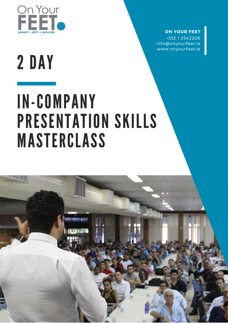

### **ON YOUR FEET**

+353 1 2542206 info@onyourfeet.ie www.onyourfeet.ie

# 2 DAY

# IN-COMPANY PRESENTATION SKILLS MASTERCLASS

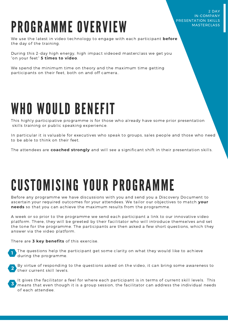#### 2 DAY IN-COMPANY PRESENTATION SKILLS MASTERCLASS

## PROGRAMME OVERVIEW

We use the latest in video technology to engage with each participant **before** the day of the training.

During this 2-day high energy, high impact videoed masterclass we get you "on your feet" **5 times to video**.

We spend the minimum time on theory and the maximum time getting participants on their feet, both on and off camera..

### WHO WOULD BENEFIT

This highly participative programme is for those who already have some prior presentation skills training or public speaking experience.

In particular it is valuable for executives who speak to groups, sales people and those who need to be able to think on their feet.

The attendees are **coached strongly** and will see a significant shift in their presentation skills.

## CUSTOMISING YOUR PROGRAMME

Before any programme we have discussions with you and send you a Discovery Document to ascertain your required outcomes for your attendees. We tailor our objectives to match **your needs** so that you can achieve the maximum results from the programme.

A week or so prior to the programme we send each participant a link to our innovative video platform. There, they will be greeted by their facilitator who will introduce themselves and set the tone for the programme. The participants are then asked a few short questions, which they answer via the video platform.

There are **3 key benefits** of this exercise.

The questions help the participant get some clarity on what they would like to achieve during the programme. **1**

By virtue of responding to the questions asked on the video, it can bring some awareness to their current skill levels. **2**

It gives the facilitator a feel for where each participant is in terms of current skill levels. This means that even though it is a group session, the facilitator can address the individual needs of each attendee. **3**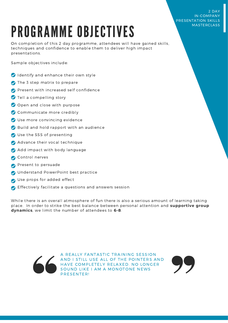#### 2 DAY IN-COMPANY PRESENTATION SKILLS MASTERCLASS

## PROGRAMME OBJECTIVES

On completion of this 2 day programme, attendees will have gained skills, techniques and confidence to enable them to deliver high impact presentations.

Sample objectives include:

- Identify and enhance their own style
- The 3 step matrix to prepare
- **Present with increased self confidence**
- Tell a compelling story
- Open and close with purpose
- Communicate more credibly
- Use more convincing evidence
- Build and hold rapport with an audience
- Use the SSS of presenting
- Advance their vocal technique
- Add impact with body language
- Control nerves
- Present to persuade
- O Understand PowerPoint best practice
- Use props for added effect
- Effectively facilitate a questions and answers session

While there is an overall atmosphere of fun there is also a serious amount of learning taking place. In order to strike the best balance between personal attention and **supportive group dynamics**, we limit the number of attendees to **6-8**.



A REALLY FANTASTIC TRAINING SESSION AND I STILL USE ALL OF THE POINTERS AND HAVE COMPLETELY RELAXED. NO LONGER SOUND LIKE I AM A MONOTONE NEWS PRESENTER!

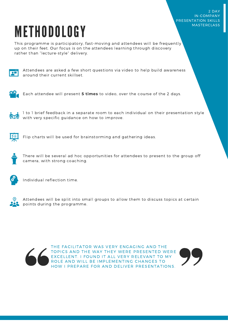2 DAY IN-COMPANY PRESENTATION SKILLS **MASTERCLASS** 

## METHODOLOGY

This programme is participatory, fast-moving and attendees will be frequently up on their feet. Our focus is on the attendees learning through discovery rather than "lecture-style" delivery.



Attendees are asked a few short questions via video to help build awareness around their current skillset.



Each attendee will present **5 times** to video, over the course of the 2 days.



1 to 1 brief feedback in a separate room to each individual on their presentation style with very specific guidance on how to improve.



Flip charts will be used for brainstorming and gathering ideas.



There will be several ad hoc opportunities for attendees to present to the group off camera, with strong coaching.



Individual reflection time.



Attendees will be split into small groups to allow them to discuss topics at certain points during the programme.



THE FACILITATOR WAS VERY ENGAGING AND THE TOPICS AND THE WAY THEY WERE PRESENTED WERE EXCELLENT. I FOUND IT ALL VERY RELEVANT TO MY ROLE AND WILL BE IMPLEMENTING CHANGES TO HOW I PREPARE FOR AND DELIVER PRESENTATIONS.